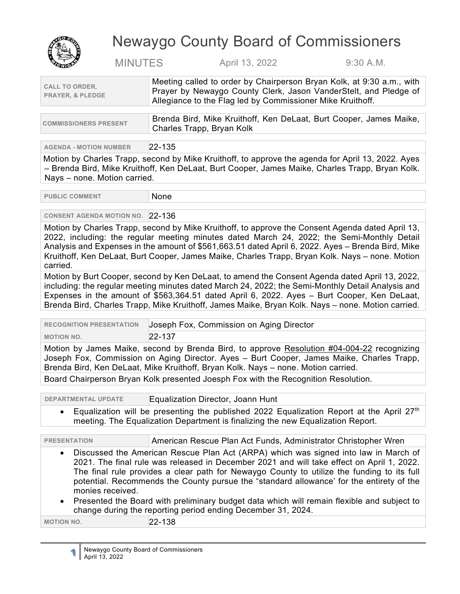

# Newaygo County Board of Commissioners

MINUTES April 13, 2022 9:30 A.M.

| Meeting called to order by Chairperson Bryan Kolk, at 9:30 a.m., with<br>Prayer by Newaygo County Clerk, Jason VanderStelt, and Pledge of<br>Allegiance to the Flag led by Commissioner Mike Kruithoff. |
|---------------------------------------------------------------------------------------------------------------------------------------------------------------------------------------------------------|
|                                                                                                                                                                                                         |
|                                                                                                                                                                                                         |

| <b>COMMISSIONERS PRESENT</b> | ∆ Brenda Bird, Mike Kruithoff, Ken DeLaat, Burt Cooper, James Maike, |
|------------------------------|----------------------------------------------------------------------|
|                              | Charles Trapp, Bryan Kolk                                            |

**AGENDA - MOTION NUMBER** 22-135

Motion by Charles Trapp, second by Mike Kruithoff, to approve the agenda for April 13, 2022. Ayes – Brenda Bird, Mike Kruithoff, Ken DeLaat, Burt Cooper, James Maike, Charles Trapp, Bryan Kolk. Nays – none. Motion carried.

PUBLIC COMMENT None

## **CONSENT AGENDA MOTION NO.** 22-136

Motion by Charles Trapp, second by Mike Kruithoff, to approve the Consent Agenda dated April 13, 2022, including: the regular meeting minutes dated March 24, 2022; the Semi-Monthly Detail Analysis and Expenses in the amount of \$561,663.51 dated April 6, 2022. Ayes – Brenda Bird, Mike Kruithoff, Ken DeLaat, Burt Cooper, James Maike, Charles Trapp, Bryan Kolk. Nays – none. Motion carried.

Motion by Burt Cooper, second by Ken DeLaat, to amend the Consent Agenda dated April 13, 2022, including: the regular meeting minutes dated March 24, 2022; the Semi-Monthly Detail Analysis and Expenses in the amount of \$563,364.51 dated April 6, 2022. Ayes – Burt Cooper, Ken DeLaat, Brenda Bird, Charles Trapp, Mike Kruithoff, James Maike, Bryan Kolk. Nays – none. Motion carried.

| <b>RECOGNITION PRESENTATION</b>                                                                                                                                                         | Joseph Fox, Commission on Aging Director |
|-----------------------------------------------------------------------------------------------------------------------------------------------------------------------------------------|------------------------------------------|
| <b>MOTION NO.</b>                                                                                                                                                                       | $22 - 137$                               |
| Motion by James Maike, second by Brenda Bird, to approve Resolution #04-004-22 recognizing<br>Joseph Fox, Commission on Aging Director. Ayes - Burt Cooper, James Maike, Charles Trapp, |                                          |

Brenda Bird, Ken DeLaat, Mike Kruithoff, Bryan Kolk. Nays – none. Motion carried.

Board Chairperson Bryan Kolk presented Joesph Fox with the Recognition Resolution.

**DEPARTMENTAL UPDATE Equalization Director, Joann Hunt** 

Equalization will be presenting the published 2022 Equalization Report at the April 27<sup>th</sup> meeting. The Equalization Department is finalizing the new Equalization Report.

**PRESENTATION American Rescue Plan Act Funds, Administrator Christopher Wren** 

- Discussed the American Rescue Plan Act (ARPA) which was signed into law in March of 2021. The final rule was released in December 2021 and will take effect on April 1, 2022. The final rule provides a clear path for Newaygo County to utilize the funding to its full potential. Recommends the County pursue the "standard allowance' for the entirety of the monies received.
- Presented the Board with preliminary budget data which will remain flexible and subject to change during the reporting period ending December 31, 2024.

**MOTION NO.** 22-138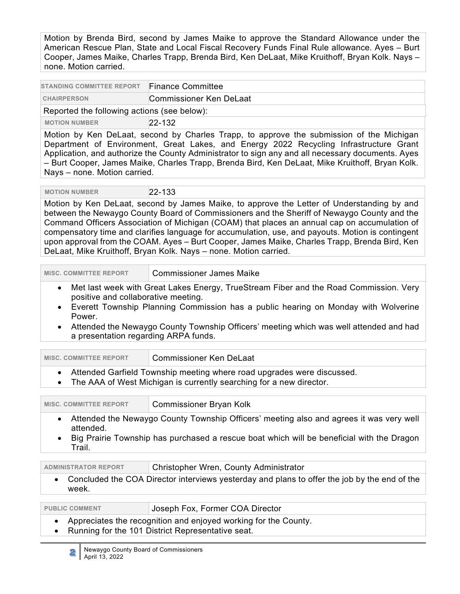Motion by Brenda Bird, second by James Maike to approve the Standard Allowance under the American Rescue Plan, State and Local Fiscal Recovery Funds Final Rule allowance. Ayes – Burt Cooper, James Maike, Charles Trapp, Brenda Bird, Ken DeLaat, Mike Kruithoff, Bryan Kolk. Nays – none. Motion carried.

| <b>STANDING COMMITTEE REPORT</b>            | <b>Finance Committee</b> |  |
|---------------------------------------------|--------------------------|--|
| <b>CHAIRPERSON</b>                          | Commissioner Ken DeLaat  |  |
| Reported the following actions (see below): |                          |  |
| <b>MOTION NUMBER</b>                        | $22 - 132$               |  |

Motion by Ken DeLaat, second by Charles Trapp, to approve the submission of the Michigan Department of Environment, Great Lakes, and Energy 2022 Recycling Infrastructure Grant Application, and authorize the County Administrator to sign any and all necessary documents. Ayes – Burt Cooper, James Maike, Charles Trapp, Brenda Bird, Ken DeLaat, Mike Kruithoff, Bryan Kolk. Nays – none. Motion carried.

 **MOTION NUMBER** 22-133

Motion by Ken DeLaat, second by James Maike, to approve the Letter of Understanding by and between the Newaygo County Board of Commissioners and the Sheriff of Newaygo County and the Command Officers Association of Michigan (COAM) that places an annual cap on accumulation of compensatory time and clarifies language for accumulation, use, and payouts. Motion is contingent upon approval from the COAM. Ayes – Burt Cooper, James Maike, Charles Trapp, Brenda Bird, Ken DeLaat, Mike Kruithoff, Bryan Kolk. Nays – none. Motion carried.

**MISC. COMMITTEE REPORT Commissioner James Maike** 

- Met last week with Great Lakes Energy, TrueStream Fiber and the Road Commission. Very positive and collaborative meeting.
- Everett Township Planning Commission has a public hearing on Monday with Wolverine Power.
- Attended the Newaygo County Township Officers' meeting which was well attended and had a presentation regarding ARPA funds.

| <b>MISC. COMMITTEE REPORT</b>                                                                                                                                                                                                         | <b>Commissioner Ken DeLaat</b>         |  |
|---------------------------------------------------------------------------------------------------------------------------------------------------------------------------------------------------------------------------------------|----------------------------------------|--|
| Attended Garfield Township meeting where road upgrades were discussed.<br>$\bullet$<br>The AAA of West Michigan is currently searching for a new director.<br>$\bullet$                                                               |                                        |  |
| <b>MISC. COMMITTEE REPORT</b>                                                                                                                                                                                                         | Commissioner Bryan Kolk                |  |
| Attended the Newaygo County Township Officers' meeting also and agrees it was very well<br>$\bullet$<br>attended.<br>Big Prairie Township has purchased a rescue boat which will be beneficial with the Dragon<br>$\bullet$<br>Trail. |                                        |  |
| <b>ADMINISTRATOR REPORT</b>                                                                                                                                                                                                           | Christopher Wren, County Administrator |  |

• Concluded the COA Director interviews yesterday and plans to offer the job by the end of the week.

PUBLIC COMMENT **Joseph Fox, Former COA Director** 

- Appreciates the recognition and enjoyed working for the County.
- Running for the 101 District Representative seat.